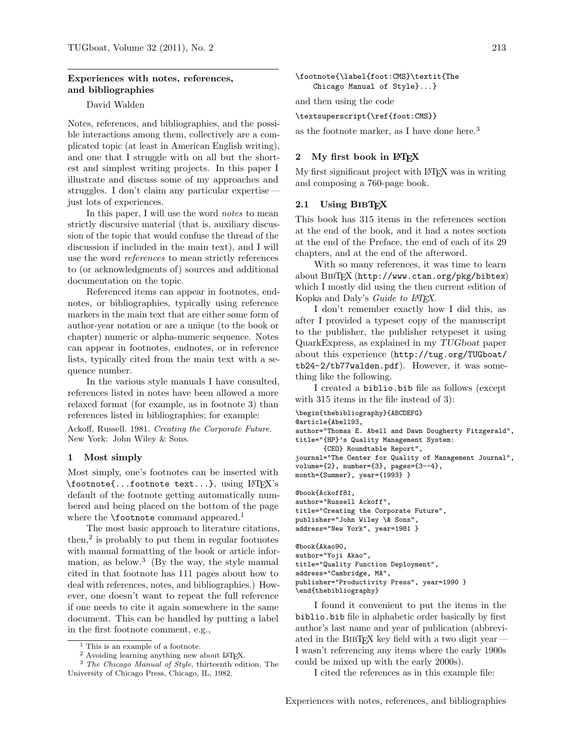# Experiences with notes, references, and bibliographies

### David Walden

Notes, references, and bibliographies, and the possible interactions among them, collectively are a complicated topic (at least in American English writing), and one that I struggle with on all but the shortest and simplest writing projects. In this paper I illustrate and discuss some of my approaches and struggles. I don't claim any particular expertise just lots of experiences.

In this paper, I will use the word notes to mean strictly discursive material (that is, auxiliary discussion of the topic that would confuse the thread of the discussion if included in the main text), and I will use the word references to mean strictly references to (or acknowledgments of) sources and additional documentation on the topic.

Referenced items can appear in footnotes, endnotes, or bibliographies, typically using reference markers in the main text that are either some form of author-year notation or are a unique (to the book or chapter) numeric or alpha-numeric sequence. Notes can appear in footnotes, endnotes, or in reference lists, typically cited from the main text with a sequence number.

In the various style manuals I have consulted, references listed in notes have been allowed a more relaxed format (for example, as in footnote 3) than references listed in bibliographies; for example:

Ackoff, Russell. 1981. Creating the Corporate Future. New York: John Wiley & Sons.

#### 1 Most simply

Most simply, one's footnotes can be inserted with  $\setminus$ footnote $\{ \dots$ footnote text...}, using  $\mathbb{P}T_F X$ 's default of the footnote getting automatically numbered and being placed on the bottom of the page where the  $\setminus$  footnote command appeared.<sup>1</sup>

The most basic approach to literature citations, then,<sup>2</sup> is probably to put them in regular footnotes with manual formatting of the book or article information, as below.<sup>3</sup> (By the way, the style manual cited in that footnote has 111 pages about how to deal with references, notes, and bibliographies.) However, one doesn't want to repeat the full reference if one needs to cite it again somewhere in the same document. This can be handled by putting a label in the first footnote comment, e.g.,

\footnote{\label{foot:CMS}\textit{The Chicago Manual of Style}...}

and then using the code

#### \textsuperscript{\ref{foot:CMS}}

as the footnote marker, as I have done here.<sup>3</sup>

#### 2 My first book in LATFX

My first significant project with LAT<sub>EX</sub> was in writing and composing a 760-page book.

#### 2.1 Using BIBTEX

This book has 315 items in the references section at the end of the book, and it had a notes section at the end of the Preface, the end of each of its 29 chapters, and at the end of the afterword.

With so many references, it was time to learn about BibTEX (http://www.ctan.org/pkg/bibtex) which I mostly did using the then current edition of Kopka and Daly's Guide to LATEX.

I don't remember exactly how I did this, as after I provided a typeset copy of the manuscript to the publisher, the publisher retypeset it using QuarkExpress, as explained in my TUGboat paper about this experience (http://tug.org/TUGboat/ tb24-2/tb77walden.pdf). However, it was something like the following.

I created a biblio.bib file as follows (except with 315 items in the file instead of 3):

```
\begin{thebibliography}{ABCDEFG}
@article{Abell93,
author="Thomas E. Abell and Dawn Dougherty Fitzgerald",
title="{HP}'s Quality Management System:
       {CEO} Roundtable Report",
journal="The Center for Quality of Management Journal",
volume={2}, number={3}, pages={3--4},
month={Summer}, year={1993} }
@book{Ackoff81,
author="Russell Ackoff",
title="Creating the Corporate Future",
publisher="John Wiley \& Sons",
address="New York", year=1981 }
@book{Akao90,
author="Yoji Akao",
title="Quality Function Deployment",
address="Cambridge, MA",
publisher="Productivity Press", year=1990 }
```
\end{thebibliography}

I found it convenient to put the items in the biblio.bib file in alphabetic order basically by first author's last name and year of publication (abbreviated in the BIBTEX key field with a two digit year  $-$ I wasn't referencing any items where the early 1900s could be mixed up with the early 2000s).

I cited the references as in this example file:

<sup>&</sup>lt;sup>1</sup> This is an example of a footnote.

<sup>2</sup> Avoiding learning anything new about LATEX.

<sup>3</sup> The Chicago Manual of Style, thirteenth edition, The University of Chicago Press, Chicago, IL, 1982.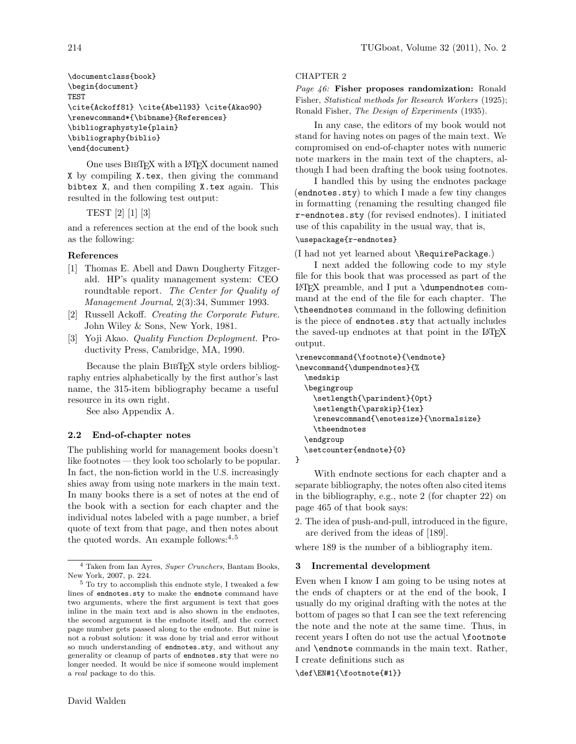\documentclass{book} \begin{document} TEST \cite{Ackoff81} \cite{Abell93} \cite{Akao90} \renewcommand\*{\bibname}{References} \bibliographystyle{plain} \bibliography{biblio} \end{document}

One uses BIBTEX with a LATEX document named X by compiling X.tex, then giving the command bibtex X, and then compiling X.tex again. This resulted in the following test output:

## TEST [2] [1] [3]

and a references section at the end of the book such as the following:

## References

- [1] Thomas E. Abell and Dawn Dougherty Fitzgerald. HP's quality management system: CEO roundtable report. The Center for Quality of Management Journal, 2(3):34, Summer 1993.
- [2] Russell Ackoff. Creating the Corporate Future. John Wiley & Sons, New York, 1981.
- [3] Yoji Akao. Quality Function Deployment. Productivity Press, Cambridge, MA, 1990.

Because the plain BIBTEX style orders bibliography entries alphabetically by the first author's last name, the 315-item bibliography became a useful resource in its own right.

See also Appendix A.

## 2.2 End-of-chapter notes

The publishing world for management books doesn't like footnotes — they look too scholarly to be popular. In fact, the non-fiction world in the U.S. increasingly shies away from using note markers in the main text. In many books there is a set of notes at the end of the book with a section for each chapter and the individual notes labeled with a page number, a brief quote of text from that page, and then notes about the quoted words. An example follows: $4,5$ 

### CHAPTER 2

Page 46: Fisher proposes randomization: Ronald Fisher, Statistical methods for Research Workers (1925); Ronald Fisher, The Design of Experiments (1935).

In any case, the editors of my book would not stand for having notes on pages of the main text. We compromised on end-of-chapter notes with numeric note markers in the main text of the chapters, although I had been drafting the book using footnotes.

I handled this by using the endnotes package (endnotes.sty) to which I made a few tiny changes in formatting (renaming the resulting changed file r-endnotes.sty (for revised endnotes). I initiated use of this capability in the usual way, that is,

## \usepackage{r-endnotes}

(I had not yet learned about \RequirePackage.)

I next added the following code to my style file for this book that was processed as part of the LATEX preamble, and I put a \dumpendnotes command at the end of the file for each chapter. The \theendnotes command in the following definition is the piece of endnotes.sty that actually includes the saved-up endnotes at that point in the LAT<sub>EX</sub> output.

```
\renewcommand{\footnote}{\endnote}
\newcommand{\dumpendnotes}{%
  \medskip
  \begingroup
    \setlength{\parindent}{0pt}
    \setlength{\parskip}{1ex}
    \renewcommand{\enotesize}{\normalsize}
    \theendnotes
  \endgroup
  \setcounter{endnote}{0}
}
```
With endnote sections for each chapter and a separate bibliography, the notes often also cited items in the bibliography, e.g., note 2 (for chapter 22) on page 465 of that book says:

2. The idea of push-and-pull, introduced in the figure, are derived from the ideas of [189].

where 189 is the number of a bibliography item.

## 3 Incremental development

Even when I know I am going to be using notes at the ends of chapters or at the end of the book, I usually do my original drafting with the notes at the bottom of pages so that I can see the text referencing the note and the note at the same time. Thus, in recent years I often do not use the actual **\footnote** and \endnote commands in the main text. Rather, I create definitions such as

\def\EN#1{\footnote{#1}}

 $^4$  Taken from Ian Ayres,  $Super~Crunchers,$  Bantam Books,  $\,$ New York, 2007, p. 224.

 $^5$  To try to accomplish this endnote style, I tweaked a few lines of endnotes.sty to make the endnote command have two arguments, where the first argument is text that goes inline in the main text and is also shown in the endnotes, the second argument is the endnote itself, and the correct page number gets passed along to the endnote. But mine is not a robust solution: it was done by trial and error without so much understanding of endnotes.sty, and without any generality or cleanup of parts of endnotes.sty that were no longer needed. It would be nice if someone would implement a real package to do this.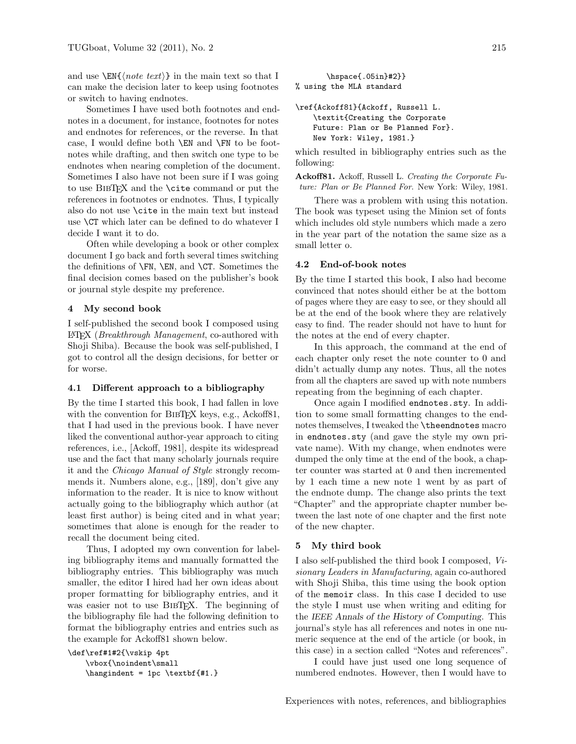and use  $\sum_{\iota}$  in the main text so that I can make the decision later to keep using footnotes or switch to having endnotes.

Sometimes I have used both footnotes and endnotes in a document, for instance, footnotes for notes and endnotes for references, or the reverse. In that case, I would define both \EN and \FN to be footnotes while drafting, and then switch one type to be endnotes when nearing completion of the document. Sometimes I also have not been sure if I was going to use BibTEX and the \cite command or put the references in footnotes or endnotes. Thus, I typically also do not use \cite in the main text but instead use \CT which later can be defined to do whatever I decide I want it to do.

Often while developing a book or other complex document I go back and forth several times switching the definitions of  $\F{N}$ ,  $\E{N}$ , and  $\CT$ . Sometimes the final decision comes based on the publisher's book or journal style despite my preference.

### 4 My second book

I self-published the second book I composed using LATEX (Breakthrough Management, co-authored with Shoji Shiba). Because the book was self-published, I got to control all the design decisions, for better or for worse.

#### 4.1 Different approach to a bibliography

By the time I started this book, I had fallen in love with the convention for BIBTEX keys, e.g., Ackoff81, that I had used in the previous book. I have never liked the conventional author-year approach to citing references, i.e., [Ackoff, 1981], despite its widespread use and the fact that many scholarly journals require it and the Chicago Manual of Style strongly recommends it. Numbers alone, e.g., [189], don't give any information to the reader. It is nice to know without actually going to the bibliography which author (at least first author) is being cited and in what year; sometimes that alone is enough for the reader to recall the document being cited.

Thus, I adopted my own convention for labeling bibliography items and manually formatted the bibliography entries. This bibliography was much smaller, the editor I hired had her own ideas about proper formatting for bibliography entries, and it was easier not to use BIBTFX. The beginning of the bibliography file had the following definition to format the bibliography entries and entries such as the example for Ackoff81 shown below.

```
\def\ref#1#2{\vskip 4pt
    \vbox{\noindent\small
    \hangindent = 1pc \textbf{#1.}
```
\hspace{.05in}#2}} % using the MLA standard \ref{Ackoff81}{Ackoff, Russell L. \textit{Creating the Corporate Future: Plan or Be Planned For}.

New York: Wiley, 1981.}

which resulted in bibliography entries such as the following:

Ackoff81. Ackoff, Russell L. Creating the Corporate Future: Plan or Be Planned For. New York: Wiley, 1981.

There was a problem with using this notation. The book was typeset using the Minion set of fonts which includes old style numbers which made a zero in the year part of the notation the same size as a small letter o.

#### 4.2 End-of-book notes

By the time I started this book, I also had become convinced that notes should either be at the bottom of pages where they are easy to see, or they should all be at the end of the book where they are relatively easy to find. The reader should not have to hunt for the notes at the end of every chapter.

In this approach, the command at the end of each chapter only reset the note counter to 0 and didn't actually dump any notes. Thus, all the notes from all the chapters are saved up with note numbers repeating from the beginning of each chapter.

Once again I modified endnotes.sty. In addition to some small formatting changes to the endnotes themselves, I tweaked the \theendnotes macro in endnotes.sty (and gave the style my own private name). With my change, when endnotes were dumped the only time at the end of the book, a chapter counter was started at 0 and then incremented by 1 each time a new note 1 went by as part of the endnote dump. The change also prints the text "Chapter" and the appropriate chapter number between the last note of one chapter and the first note of the new chapter.

#### 5 My third book

I also self-published the third book I composed, Visionary Leaders in Manufacturing, again co-authored with Shoji Shiba, this time using the book option of the memoir class. In this case I decided to use the style I must use when writing and editing for the IEEE Annals of the History of Computing. This journal's style has all references and notes in one numeric sequence at the end of the article (or book, in this case) in a section called "Notes and references".

I could have just used one long sequence of numbered endnotes. However, then I would have to